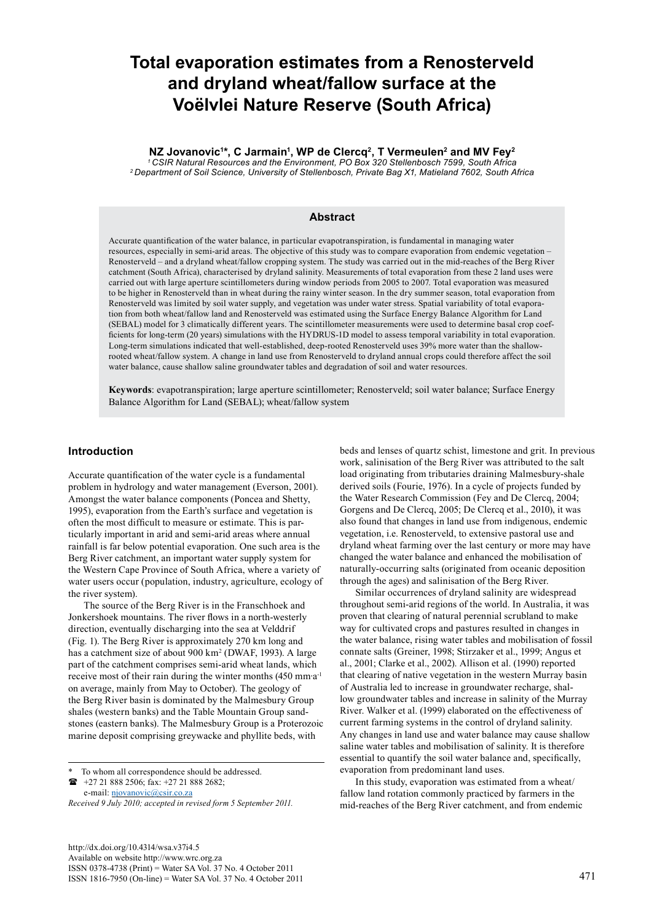# **Total evaporation estimates from a Renosterveld and dryland wheat/fallow surface at the Voëlvlei Nature Reserve (South Africa)**

**NZ Jovanovic1 \*, C Jarmain1 , WP de Clercq2, T Vermeulen2 and MV Fey2** *1 CSIR Natural Resources and the Environment, PO Box 320 Stellenbosch 7599, South Africa*

*2 Department of Soil Science, University of Stellenbosch, Private Bag X1, Matieland 7602, South Africa*

#### **Abstract**

Accurate quantification of the water balance, in particular evapotranspiration, is fundamental in managing water resources, especially in semi-arid areas. The objective of this study was to compare evaporation from endemic vegetation – Renosterveld – and a dryland wheat/fallow cropping system. The study was carried out in the mid-reaches of the Berg River catchment (South Africa), characterised by dryland salinity. Measurements of total evaporation from these 2 land uses were carried out with large aperture scintillometers during window periods from 2005 to 2007. Total evaporation was measured to be higher in Renosterveld than in wheat during the rainy winter season. In the dry summer season, total evaporation from Renosterveld was limited by soil water supply, and vegetation was under water stress. Spatial variability of total evaporation from both wheat/fallow land and Renosterveld was estimated using the Surface Energy Balance Algorithm for Land (SEBAL) model for 3 climatically different years. The scintillometer measurements were used to determine basal crop coefficients for long-term (20 years) simulations with the HYDRUS-1D model to assess temporal variability in total evaporation. Long-term simulations indicated that well-established, deep-rooted Renosterveld uses 39% more water than the shallowrooted wheat/fallow system. A change in land use from Renosterveld to dryland annual crops could therefore affect the soil water balance, cause shallow saline groundwater tables and degradation of soil and water resources.

**Keywords**: evapotranspiration; large aperture scintillometer; Renosterveld; soil water balance; Surface Energy Balance Algorithm for Land (SEBAL); wheat/fallow system

# **Introduction**

Accurate quantification of the water cycle is a fundamental problem in hydrology and water management (Everson, 2001). Amongst the water balance components (Poncea and Shetty, 1995), evaporation from the Earth's surface and vegetation is often the most difficult to measure or estimate. This is particularly important in arid and semi-arid areas where annual rainfall is far below potential evaporation. One such area is the Berg River catchment, an important water supply system for the Western Cape Province of South Africa, where a variety of water users occur (population, industry, agriculture, ecology of the river system).

The source of the Berg River is in the Franschhoek and Jonkershoek mountains. The river flows in a north-westerly direction, eventually discharging into the sea at Velddrif (Fig. 1). The Berg River is approximately 270 km long and has a catchment size of about 900 km<sup>2</sup> (DWAF, 1993). A large part of the catchment comprises semi-arid wheat lands, which receive most of their rain during the winter months (450 mm∙a-1 on average, mainly from May to October). The geology of the Berg River basin is dominated by the Malmesbury Group shales (western banks) and the Table Mountain Group sandstones (eastern banks). The Malmesbury Group is a Proterozoic marine deposit comprising greywacke and phyllite beds, with

To whom all correspondence should be addressed. +27 21 888 2506; fax: +27 21 888 2682;

e-mail: njovanovic@csir.co.za

*Received 9 July 2010; accepted in revised form 5 September 2011.*

beds and lenses of quartz schist, limestone and grit. In previous work, salinisation of the Berg River was attributed to the salt load originating from tributaries draining Malmesbury-shale derived soils (Fourie, 1976). In a cycle of projects funded by the Water Research Commission (Fey and De Clercq, 2004; Gorgens and De Clercq, 2005; De Clercq et al., 2010), it was also found that changes in land use from indigenous, endemic vegetation, i.e. Renosterveld, to extensive pastoral use and dryland wheat farming over the last century or more may have changed the water balance and enhanced the mobilisation of naturally-occurring salts (originated from oceanic deposition through the ages) and salinisation of the Berg River.

Similar occurrences of dryland salinity are widespread throughout semi-arid regions of the world. In Australia, it was proven that clearing of natural perennial scrubland to make way for cultivated crops and pastures resulted in changes in the water balance, rising water tables and mobilisation of fossil connate salts (Greiner, 1998; Stirzaker et al., 1999; Angus et al., 2001; Clarke et al., 2002). Allison et al. (1990) reported that clearing of native vegetation in the western Murray basin of Australia led to increase in groundwater recharge, shallow groundwater tables and increase in salinity of the Murray River. Walker et al. (1999) elaborated on the effectiveness of current farming systems in the control of dryland salinity. Any changes in land use and water balance may cause shallow saline water tables and mobilisation of salinity. It is therefore essential to quantify the soil water balance and, specifically, evaporation from predominant land uses.

In this study, evaporation was estimated from a wheat/ fallow land rotation commonly practiced by farmers in the mid-reaches of the Berg River catchment, and from endemic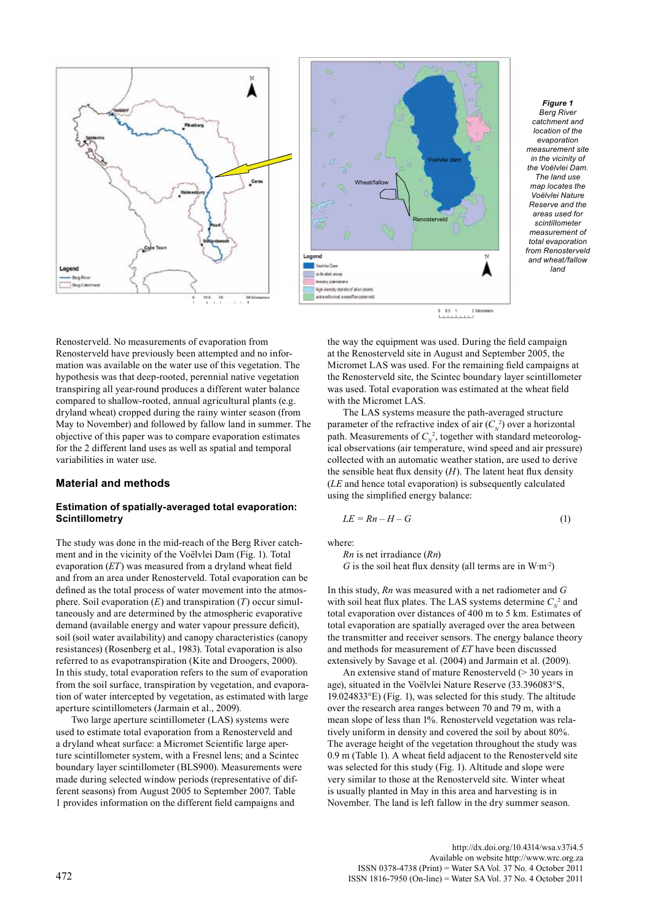



*Figure 1 Berg River catchment and location of the evaporation measurement site in the vicinity of the Voëlvlei Dam. The land use map locates the Voëlvlei Nature Reserve and the areas used for scintillometer measurement of total evaporation from Renosterveld and wheat/fallow land*

Renosterveld. No measurements of evaporation from Renosterveld have previously been attempted and no information was available on the water use of this vegetation. The hypothesis was that deep-rooted, perennial native vegetation transpiring all year-round produces a different water balance compared to shallow-rooted, annual agricultural plants (e.g. dryland wheat) cropped during the rainy winter season (from May to November) and followed by fallow land in summer. The objective of this paper was to compare evaporation estimates for the 2 different land uses as well as spatial and temporal variabilities in water use.

### **Material and methods**

## **Estimation of spatially-averaged total evaporation: Scintillometry**

The study was done in the mid-reach of the Berg River catchment and in the vicinity of the Voëlvlei Dam (Fig. 1). Total evaporation (*ET*) was measured from a dryland wheat field and from an area under Renosterveld. Total evaporation can be defined as the total process of water movement into the atmosphere. Soil evaporation (*E*) and transpiration (*T*) occur simultaneously and are determined by the atmospheric evaporative demand (available energy and water vapour pressure deficit), soil (soil water availability) and canopy characteristics (canopy resistances) (Rosenberg et al., 1983). Total evaporation is also referred to as evapotranspiration (Kite and Droogers, 2000). In this study, total evaporation refers to the sum of evaporation from the soil surface, transpiration by vegetation, and evaporation of water intercepted by vegetation, as estimated with large aperture scintillometers (Jarmain et al., 2009).

Two large aperture scintillometer (LAS) systems were used to estimate total evaporation from a Renosterveld and a dryland wheat surface: a Micromet Scientific large aperture scintillometer system, with a Fresnel lens; and a Scintec boundary layer scintillometer (BLS900). Measurements were made during selected window periods (representative of different seasons) from August 2005 to September 2007. Table 1 provides information on the different field campaigns and

the way the equipment was used. During the field campaign at the Renosterveld site in August and September 2005, the Micromet LAS was used. For the remaining field campaigns at the Renosterveld site, the Scintec boundary layer scintillometer was used. Total evaporation was estimated at the wheat field with the Micromet LAS.

The LAS systems measure the path-averaged structure parameter of the refractive index of air  $(C<sub>N</sub><sup>2</sup>)$  over a horizontal path. Measurements of  $C_N^2$ , together with standard meteorological observations (air temperature, wind speed and air pressure) collected with an automatic weather station, are used to derive the sensible heat flux density  $(H)$ . The latent heat flux density (*LE* and hence total evaporation) is subsequently calculated using the simplified energy balance:

$$
LE = Rn - H - G \tag{1}
$$

where:

*Rn* is net irradiance (*Rn*) *G* is the soil heat flux density (all terms are in W⋅m<sup>-2</sup>)

In this study, *Rn* was measured with a net radiometer and *G* with soil heat flux plates. The LAS systems determine  $C_N^2$  and total evaporation over distances of 400 m to 5 km. Estimates of total evaporation are spatially averaged over the area between the transmitter and receiver sensors. The energy balance theory and methods for measurement of *ET* have been discussed extensively by Savage et al. (2004) and Jarmain et al. (2009).

An extensive stand of mature Renosterveld ( $>$  30 years in age), situated in the Voëlvlei Nature Reserve (33.396083°S, 19.024833°E) (Fig. 1), was selected for this study. The altitude over the research area ranges between 70 and 79 m, with a mean slope of less than 1%. Renosterveld vegetation was relatively uniform in density and covered the soil by about 80%. The average height of the vegetation throughout the study was 0.9 m (Table 1). A wheat field adjacent to the Renosterveld site was selected for this study (Fig. 1). Altitude and slope were very similar to those at the Renosterveld site. Winter wheat is usually planted in May in this area and harvesting is in November. The land is left fallow in the dry summer season.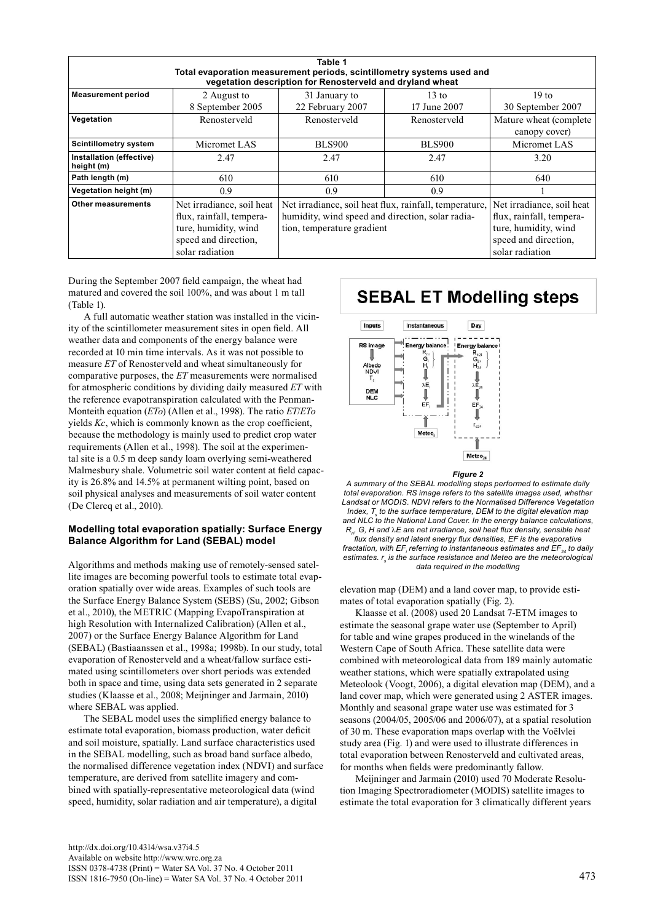|                                                                                                                                     |                           | Table 1                                                |                           |                        |  |  |  |  |
|-------------------------------------------------------------------------------------------------------------------------------------|---------------------------|--------------------------------------------------------|---------------------------|------------------------|--|--|--|--|
| Total evaporation measurement periods, scintillometry systems used and<br>vegetation description for Renosterveld and dryland wheat |                           |                                                        |                           |                        |  |  |  |  |
|                                                                                                                                     |                           |                                                        |                           |                        |  |  |  |  |
|                                                                                                                                     | 8 September 2005          | 22 February 2007                                       | 17 June 2007              | 30 September 2007      |  |  |  |  |
| Vegetation                                                                                                                          | Renosterveld              | Renosterveld                                           |                           | Mature wheat (complete |  |  |  |  |
|                                                                                                                                     |                           |                                                        |                           | canopy cover)          |  |  |  |  |
| <b>Scintillometry system</b>                                                                                                        | Micromet LAS              | <b>BLS900</b>                                          | <b>BLS900</b>             | Micromet LAS           |  |  |  |  |
| Installation (effective)<br>height (m)                                                                                              | 2.47                      | 2.47                                                   | 2.47                      | 3.20                   |  |  |  |  |
| Path length (m)                                                                                                                     | 610                       | 610                                                    | 610                       | 640                    |  |  |  |  |
| Vegetation height (m)                                                                                                               | 0.9                       | 0.9                                                    | 0.9                       |                        |  |  |  |  |
| Other measurements                                                                                                                  | Net irradiance, soil heat | Net irradiance, soil heat flux, rainfall, temperature, | Net irradiance, soil heat |                        |  |  |  |  |
|                                                                                                                                     | flux, rainfall, tempera-  | humidity, wind speed and direction, solar radia-       | flux, rainfall, tempera-  |                        |  |  |  |  |
|                                                                                                                                     | ture, humidity, wind      | tion, temperature gradient                             | ture, humidity, wind      |                        |  |  |  |  |
|                                                                                                                                     | speed and direction,      |                                                        |                           | speed and direction,   |  |  |  |  |
|                                                                                                                                     | solar radiation           |                                                        |                           | solar radiation        |  |  |  |  |

During the September 2007 field campaign, the wheat had matured and covered the soil 100%, and was about 1 m tall (Table 1).

A full automatic weather station was installed in the vicinity of the scintillometer measurement sites in open field. All weather data and components of the energy balance were recorded at 10 min time intervals. As it was not possible to measure *ET* of Renosterveld and wheat simultaneously for comparative purposes, the *ET* measurements were normalised for atmospheric conditions by dividing daily measured *ET* with the reference evapotranspiration calculated with the Penman-Monteith equation (*ETo*) (Allen et al., 1998). The ratio *ET*/*ETo* yields *Kc*, which is commonly known as the crop coefficient, because the methodology is mainly used to predict crop water requirements (Allen et al., 1998). The soil at the experimental site is a 0.5 m deep sandy loam overlying semi-weathered Malmesbury shale. Volumetric soil water content at field capacity is  $26.8\%$  and 14.5% at permanent wilting point, based on soil physical analyses and measurements of soil water content (De Clercq et al., 2010).

### **Modelling total evaporation spatially: Surface Energy Balance Algorithm for Land (SEBAL) model**

Algorithms and methods making use of remotely-sensed satellite images are becoming powerful tools to estimate total evaporation spatially over wide areas. Examples of such tools are the Surface Energy Balance System (SEBS) (Su, 2002; Gibson et al., 2010), the METRIC (Mapping EvapoTranspiration at high Resolution with Internalized Calibration) (Allen et al., 2007) or the Surface Energy Balance Algorithm for Land (SEBAL) (Bastiaanssen et al., 1998a; 1998b). In our study, total evaporation of Renosterveld and a wheat/fallow surface estimated using scintillometers over short periods was extended both in space and time, using data sets generated in 2 separate studies (Klaasse et al., 2008; Meijninger and Jarmain, 2010) where SEBAL was applied.

The SEBAL model uses the simplified energy balance to estimate total evaporation, biomass production, water deficit and soil moisture, spatially. Land surface characteristics used in the SEBAL modelling, such as broad band surface albedo, the normalised difference vegetation index (NDVI) and surface temperature, are derived from satellite imagery and combined with spatially-representative meteorological data (wind speed, humidity, solar radiation and air temperature), a digital

#### http://dx.doi.org/10.4314/wsa.v37i4.5 Available on website http://www.wrc.org.za ISSN 0378-4738 (Print) = Water SA Vol. 37 No. 4 October 2011 ISSN 1816-7950 (On-line) = Water SA Vol. 37 No. 4 October 2011 473

# **SEBAL ET Modelling steps**



#### *Figure 2*

*A summary of the SEBAL modelling steps performed to estimate daily total evaporation. RS image refers to the satellite images used, whether Landsat or MODIS. NDVI refers to the Normalised Difference Vegetation*  Index, T<sub>s</sub> to the surface temperature, DEM to the digital elevation map *and NLC to the National Land Cover. In the energy balance calculations, Rn, G, H and* l*E are net irradiance, soil heat flux density, sensible heat flux density and latent energy flux densities, EF is the evaporative fractation, with EF<sup>i</sup> referring to instantaneous estimates and EF24 to daily*  estimates.  $r_{\rm s}$  is the surface resistance and Meteo are the meteorological *data required in the modelling*

elevation map (DEM) and a land cover map, to provide estimates of total evaporation spatially (Fig. 2).

Klaasse et al. (2008) used 20 Landsat 7-ETM images to estimate the seasonal grape water use (September to April) for table and wine grapes produced in the winelands of the Western Cape of South Africa. These satellite data were combined with meteorological data from 189 mainly automatic weather stations, which were spatially extrapolated using Meteolook (Voogt, 2006), a digital elevation map (DEM), and a land cover map, which were generated using 2 ASTER images. Monthly and seasonal grape water use was estimated for 3 seasons (2004/05, 2005/06 and 2006/07), at a spatial resolution of 30 m. These evaporation maps overlap with the Voëlvlei study area (Fig. 1) and were used to illustrate differences in total evaporation between Renosterveld and cultivated areas, for months when fields were predominantly fallow.

Meijninger and Jarmain (2010) used 70 Moderate Resolution Imaging Spectroradiometer (MODIS) satellite images to estimate the total evaporation for 3 climatically different years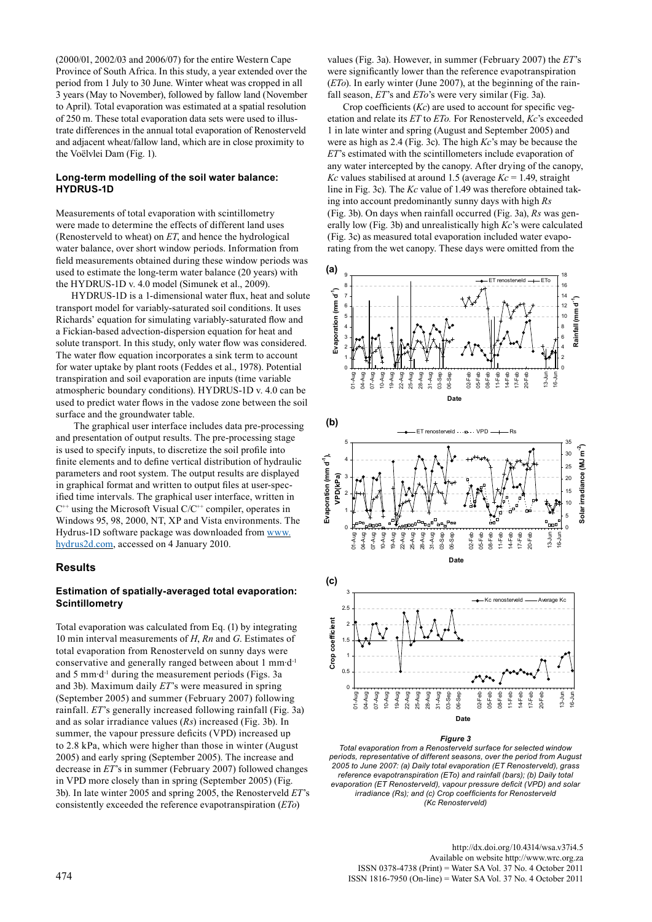(2000/01, 2002/03 and 2006/07) for the entire Western Cape Province of South Africa. In this study, a year extended over the period from 1 July to 30 June. Winter wheat was cropped in all 3 years (May to November), followed by fallow land (November to April). Total evaporation was estimated at a spatial resolution of 250 m. These total evaporation data sets were used to illustrate differences in the annual total evaporation of Renosterveld and adjacent wheat/fallow land, which are in close proximity to the Voëlvlei Dam (Fig. 1).

#### **Long-term modelling of the soil water balance: HYDRUS-1D**

Measurements of total evaporation with scintillometry were made to determine the effects of different land uses (Renosterveld to wheat) on *ET*, and hence the hydrological water balance, over short window periods. Information from field measurements obtained during these window periods was 1 used to estimate the long-term water balance (20 years) with the HYDRUS-1D v. 4.0 model (Simunek et al., 2009).

HYDRUS-1D is a 1-dimensional water flux, heat and solute transport model for variably-saturated soil conditions. It uses Richards' equation for simulating variably-saturated flow and a Fickian-based advection-dispersion equation for heat and solute transport. In this study, only water flow was considered. The water flow equation incorporates a sink term to account for water uptake by plant roots (Feddes et al., 1978). Potential transpiration and soil evaporation are inputs (time variable atmospheric boundary conditions). HYDRUS-1D v. 4.0 can be used to predict water flows in the vadose zone between the soil surface and the groundwater table.

ace and the groundwater table.<br>The graphical user interface includes data pre-processing and presentation of output results. The pre-processing stage is used to specify inputs, to discretize the soil profile into finite elements and to define vertical distribution of hydraulic parameters and root system. The output results are displayed in graphical format and written to output files at user-specified time intervals. The graphical user interface, written in  $C^{++}$  using the Microsoft Visual  $C/C^{++}$  compiler, operates in Windows 95, 98, 2000, NT, XP and Vista environments. The Hydrus-1D software package was downloaded from www. hydrus2d.com, accessed on 4 January 2010.

### **Results**

## **Estimation of spatially-averaged total evaporation: Scintillometry**

Total evaporation was calculated from Eq. (1) by integrating 10 min interval measurements of *H*, *Rn* and *G*. Estimates of total evaporation from Renosterveld on sunny days were conservative and generally ranged between about 1 mm∙d-1 and 5 mm∙d-1 during the measurement periods (Figs. 3a and 3b). Maximum daily *ET*'s were measured in spring (September 2005) and summer (February 2007) following rainfall. *ET*'s generally increased following rainfall (Fig. 3a) and as solar irradiance values (*Rs*) increased (Fig. 3b). In summer, the vapour pressure deficits (VPD) increased up to 2.8 kPa, which were higher than those in winter (August 2005) and early spring (September 2005). The increase and decrease in *ET*'s in summer (February 2007) followed changes in VPD more closely than in spring (September 2005) (Fig. 3b). In late winter 2005 and spring 2005, the Renosterveld *ET*'s consistently exceeded the reference evapotranspiration (*ETo*)

values (Fig. 3a). However, in summer (February 2007) the *ET*'s were significantly lower than the reference evapotranspiration (*ETo*). In early winter (June 2007), at the beginning of the rainfall season, *ET*'s and *ETo*'s were very similar (Fig. 3a).

Crop coefficients (*Kc*) are used to account for specific vegetation and relate its *ET* to *ETo.* For Renosterveld, *Kc*'s exceeded 1 in late winter and spring (August and September 2005) and were as high as 2.4 (Fig. 3c). The high *Kc*'s may be because the *ET*'s estimated with the scintillometers include evaporation of any water intercepted by the canopy. After drying of the canopy, *Kc* values stabilised at around 1.5 (average  $Kc = 1.49$ , straight line in Fig. 3c). The *Kc* value of 1.49 was therefore obtained taking into account predominantly sunny days with high *Rs* (Fig. 3b). On days when rainfall occurred (Fig. 3a), *Rs* was generally low (Fig. 3b) and unrealistically high *Kc*'s were calculated (Fig. 3c) as measured total evaporation included water evaporating from the wet canopy. These days were omitted from the



#### 7 *Figure 3*

*Total evaporation from a Renosterveld surface for selected window periods, representative of different seasons, over the period from August 2005 to June 2007: (a) Daily total evaporation (ET Renosterveld), grass reference evapotranspiration (ETo) and rainfall (bars); (b) Daily total evaporation (ET Renosterveld), vapour pressure deficit (VPD) and solar irradiance (Rs); and (c) Crop coefficients for Renosterveld (Kc Renosterveld)*

http://dx.doi.org/10.4314/wsa.v37i4.5 Available on website http://www.wrc.org.za<br>ISSN 0378-4738 (Print) = Water SA Vol. 37 No. 4 October 2011 ISSN 0378-4738 (Print) = Water SA Vol. 37 No. 4 October 2011 <sup>474</sup> ISSN 1816-7950 (On-line) = Water SA Vol. 37 No. 4 October 2011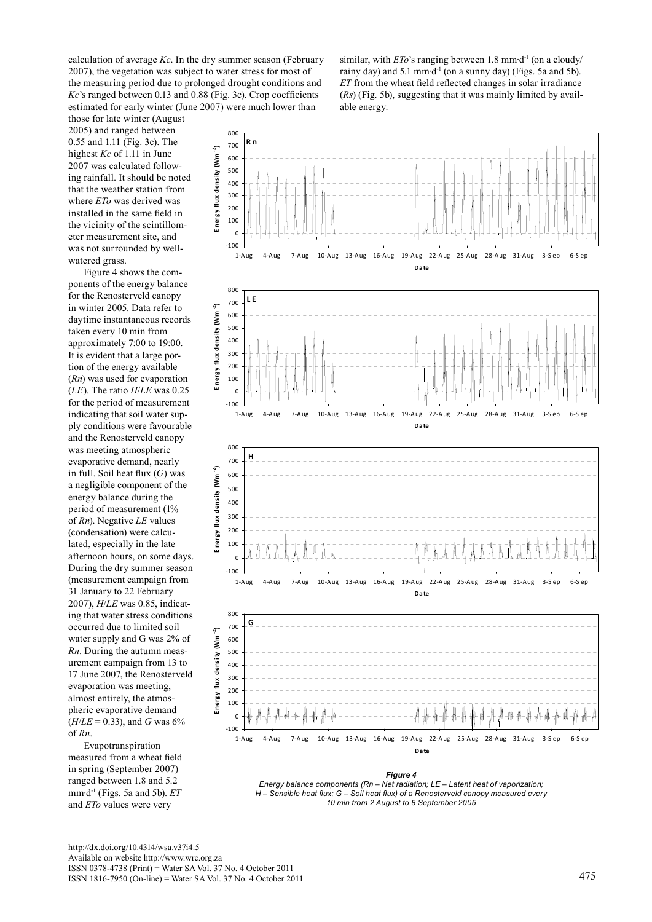calculation of average *Kc*. In the dry summer season (February 2007), the vegetation was subject to water stress for most of the measuring period due to prolonged drought conditions and *Kc*'s ranged between 0.13 and 0.88 (Fig. 3c). Crop coefficients estimated for early winter (June 2007) were much lower than

those for late winter (August above for face which (*raga*)<br>2005) and ranged between 0.55 and 1.11 (Fig. 3c). The 2 highest  $Kc$  of 1.11 in June 2007 was calculated follow-4 ing rainfall. It should be noted that the weather station from where *ETo* was derived was where  $E To$  was derived was installed in the same field in the vicinity of the scintillomthe vicinity of the scintifuor<br>eter measurement site, and eter measurement site, and<br>was not surrounded by wellwatered grass. ne  $10<sup>4</sup>$ 

Figure 4 shows the components of the energy balance for the Renosterveld canopy in winter 2005. Data refer to daytime instantaneous records taken every 10 min from approximately 7:00 to 19:00. 18 It is evident that a large portion of the energy available (*Rn*) was used for evaporation (*LE*). The ratio *H*/*LE* was 0.25  $f(x)$ . The ratio These was 0.22 indicating that soil water supply conditions were favourable and the Renosterveld canopy was meeting atmospheric evaporative demand, nearly in full. Soil heat flux  $(G)$  was a negligible component of the energy balance during the energy barance during the<br>period of measurement (1% period of *Incasurement* (17d<br>of *Rn*). Negative *LE* values (condensation) were calcu-32  $\det$  ated, especially in the late afternoon hours, on some days. During the dry summer season (measurement campaign from 36 31 January to 22 February 2007), *H/LE* was 0.85, indicating that water stress conditions ing that water stress condition<br>occurred due to limited soil occurred due to minited son<br>water supply and G was 2% of water suppry and  $\sigma$  was  $270$  or Rn. During the autumn measurement campaign from 13 to 17 June 2007, the Renosterveld evaporation was meeting, almost entirely, the atmospheric evaporative demand  $(H/LE = 0.33)$ , and *G* was 6% of *Rn*.

'*n*.<br>Evapotranspiration measured from a wheat field measured from a wheat netd<br>in spring (September 2007) m spring (september 2007)<br>ranged between 1.8 and 5.2 mm∙d-1 (Figs. 5a and 5b). *ET* and *ETo* values were very ratı!<br>+

similar, with *ETo*'s ranging between 1.8 mm⋅d<sup>-1</sup> (on a cloudy/ rainy day) and 5.1 mm⋅d<sup>-1</sup> (on a sunny day) (Figs. 5a and 5b). *ET* from the wheat field reflected changes in solar irradiance (*Rs*) (Fig. 5b), suggesting that it was mainly limited by available energy.



*Energy balance components (Rn – Net radiation; LE – Latent heat of vaporization; H – Sensible heat flux; G – Soil heat flux) of a Renosterveld canopy measured every 10 min from 2 August to 8 September 2005*

http://dx.doi.org/10.4314/wsa.v37i4.5 Available on website http://www.wrc.org.za ISSN 0378-4738 (Print) = Water SA Vol. 37 No. 4 October 2011 ISSN 1816-7950 (On-line) = Water SA Vol. 37 No. 4 October 2011 475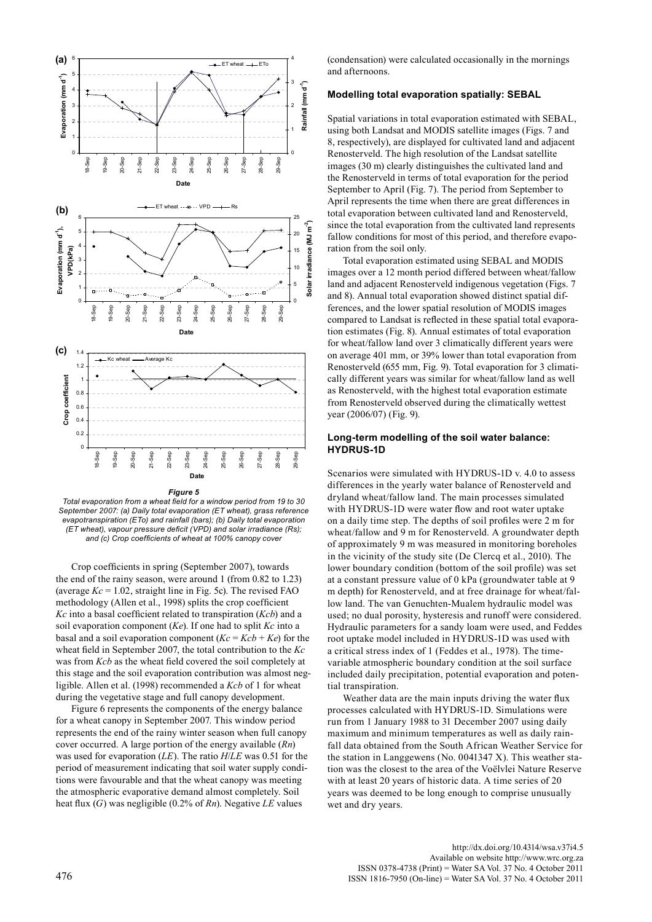



**Date** *Total evaporation from a wheat field for a window period from 19 to 30*  6 (c) *September 2007: (a) Daily total evaporation (ET wheat), grass reference evapotranspiration (ETo) and rainfall (bars); (b) Daily total evaporation (ET wheat), vapour pressure deficit (VPD) and solar irradiance (Rs); and (c) Crop coefficients of wheat at 100% canopy cover*

> Crop coefficients in spring (September 2007), towards the end of the rainy season, were around 1 (from 0.82 to 1.23) (average  $Kc = 1.02$ , straight line in Fig. 5c). The revised FAO methodology (Allen et al., 1998) splits the crop coefficient *Kc* into a basal coefficient related to transpiration (*Kcb*) and a soil evaporation component (*Ke*). If one had to split *Kc* into a basal and a soil evaporation component  $(Kc = Kcb + Ke)$  for the wheat field in September 2007, the total contribution to the *Kc*  was from *Kcb* as the wheat field covered the soil completely at this stage and the soil evaporation contribution was almost negligible. Allen et al. (1998) recommended a *Kcb* of 1 for wheat during the vegetative stage and full canopy development.

> Figure 6 represents the components of the energy balance for a wheat canopy in September 2007. This window period represents the end of the rainy winter season when full canopy cover occurred. A large portion of the energy available (*Rn*) was used for evaporation (*LE*). The ratio *H*/*LE* was 0.51 for the period of measurement indicating that soil water supply conditions were favourable and that the wheat canopy was meeting the atmospheric evaporative demand almost completely. Soil heat flux (*G*) was negligible (0.2% of *Rn*). Negative *LE* values

(condensation) were calculated occasionally in the mornings and afternoons.

#### **Modelling total evaporation spatially: SEBAL**

Spatial variations in total evaporation estimated with SEBAL, using both Landsat and MODIS satellite images (Figs. 7 and 8, respectively), are displayed for cultivated land and adjacent Renosterveld. The high resolution of the Landsat satellite images (30 m) clearly distinguishes the cultivated land and the Renosterveld in terms of total evaporation for the period September to April (Fig. 7). The period from September to April represents the time when there are great differences in total evaporation between cultivated land and Renosterveld, since the total evaporation from the cultivated land represents fallow conditions for most of this period, and therefore evaporation from the soil only.

Total evaporation estimated using SEBAL and MODIS images over a 12 month period differed between wheat/fallow land and adjacent Renosterveld indigenous vegetation (Figs. 7 and 8). Annual total evaporation showed distinct spatial differences, and the lower spatial resolution of MODIS images compared to Landsat is reflected in these spatial total evaporation estimates (Fig. 8). Annual estimates of total evaporation for wheat/fallow land over 3 climatically different years were on average 401 mm, or 39% lower than total evaporation from Renosterveld (655 mm, Fig. 9). Total evaporation for 3 climatically different years was similar for wheat/fallow land as well as Renosterveld, with the highest total evaporation estimate from Renosterveld observed during the climatically wettest year (2006/07) (Fig. 9).

## **Long-term modelling of the soil water balance: HYDRUS-1D**

Scenarios were simulated with HYDRUS-1D v. 4.0 to assess differences in the yearly water balance of Renosterveld and dryland wheat/fallow land. The main processes simulated with HYDRUS-1D were water flow and root water uptake on a daily time step. The depths of soil profiles were 2 m for wheat/fallow and 9 m for Renosterveld. A groundwater depth of approximately 9 m was measured in monitoring boreholes in the vicinity of the study site (De Clercq et al., 2010). The lower boundary condition (bottom of the soil profile) was set at a constant pressure value of 0 kPa (groundwater table at 9 m depth) for Renosterveld, and at free drainage for wheat/fallow land. The van Genuchten-Mualem hydraulic model was used; no dual porosity, hysteresis and runoff were considered. Hydraulic parameters for a sandy loam were used, and Feddes root uptake model included in HYDRUS-1D was used with a critical stress index of 1 (Feddes et al., 1978). The timevariable atmospheric boundary condition at the soil surface included daily precipitation, potential evaporation and potential transpiration.

Weather data are the main inputs driving the water flux processes calculated with HYDRUS-1D. Simulations were run from 1 January 1988 to 31 December 2007 using daily maximum and minimum temperatures as well as daily rainfall data obtained from the South African Weather Service for the station in Langgewens (No. 0041347 X). This weather station was the closest to the area of the Voëlvlei Nature Reserve with at least 20 years of historic data. A time series of 20 years was deemed to be long enough to comprise unusually wet and dry years.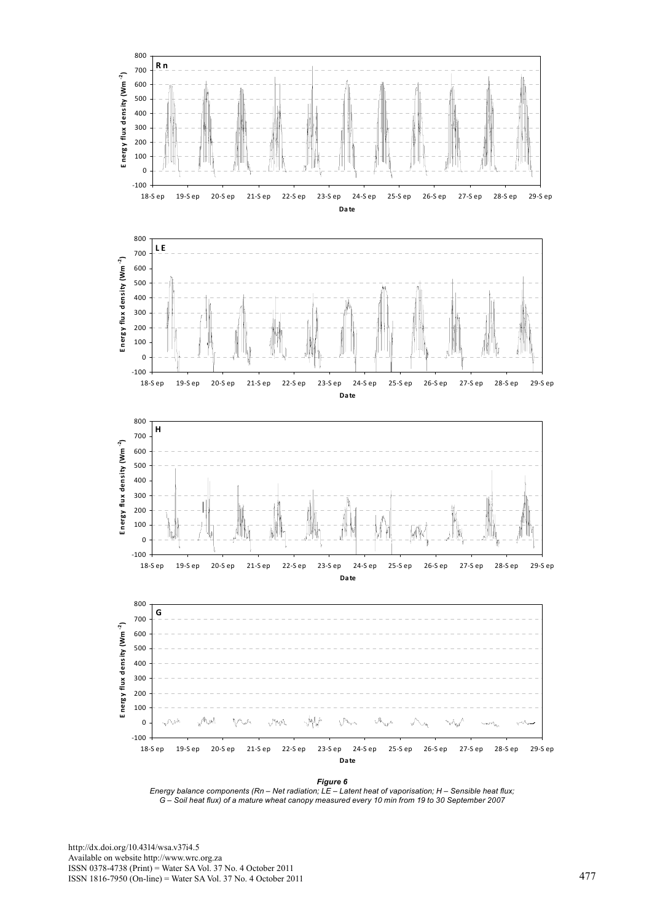

*Energy balance components (Rn – Net radiation; LE – Latent heat of vaporisation; H – Sensible heat flux; G – Soil heat flux) of a mature wheat canopy measured every 10 min from 19 to 30 September 2007*

http://dx.doi.org/10.4314/wsa.v37i4.5 Available on website http://www.wrc.org.za ISSN 0378-4738 (Print) = Water SA Vol. 37 No. 4 October 2011 ISSN 1816-7950 (On-line) = Water SA Vol. 37 No. 4 October 2011 477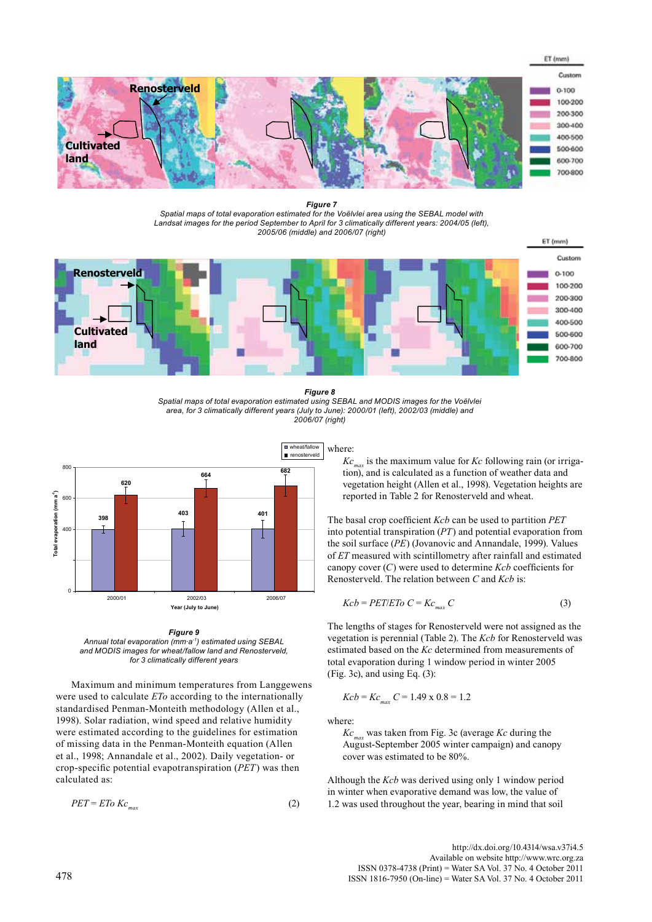

*Figure 7 Spatial maps of total evaporation estimated for the Voëlvlei area using the SEBAL model with Landsat images for the period September to April for 3 climatically different years: 2004/05 (left), 2005/06 (middle) and 2006/07 (right)* 



#### *Figure 8*

*Spatial maps of total evaporation estimated using SEBAL and MODIS images for the Voëlvlei area, for 3 climatically different years (July to June): 2000/01 (left), 2002/03 (middle) and 2006/07 (right)*



*Figure 9 Annual total evaporation (mm∙a-1) estimated using SEBAL and MODIS images for wheat/fallow land and Renosterveld, for 3 climatically different years*

Maximum and minimum temperatures from Langgewens were used to calculate *ETo* according to the internationally standardised Penman-Monteith methodology (Allen et al., 1998). Solar radiation, wind speed and relative humidity were estimated according to the guidelines for estimation of missing data in the Penman-Monteith equation (Allen et al., 1998; Annandale et al., 2002). Daily vegetation- or crop-specific potential evapotranspiration (*PET*) was then calculated as:

$$
PET = ETo Kc_{max} \tag{2}
$$

where:

 $Kc_{\text{max}}$  is the maximum value for  $Kc$  following rain (or irrigation), and is calculated as a function of weather data and vegetation height (Allen et al., 1998). Vegetation heights are reported in Table 2 for Renosterveld and wheat.

The basal crop coefficient *Kcb* can be used to partition *PET* into potential transpiration (*PT*) and potential evaporation from the soil surface (*PE*) (Jovanovic and Annandale, 1999). Values of *ET* measured with scintillometry after rainfall and estimated canopy cover (*C*) were used to determine *Kcb* coefficients for Renosterveld. The relation between *C* and *Kcb* is:

$$
Kcb = PET/ETo C = Kc_{max} C
$$
 (3)

The lengths of stages for Renosterveld were not assigned as the vegetation is perennial (Table 2). The *Kcb* for Renosterveld was estimated based on the *Kc* determined from measurements of total evaporation during 1 window period in winter 2005 (Fig. 3c), and using Eq. (3):

$$
Kcb = Kc_{max} C = 1.49 \times 0.8 = 1.2
$$

where:

*Kcmax* was taken from Fig. 3c (average *Kc* during the August-September 2005 winter campaign) and canopy cover was estimated to be 80%.

Although the *Kcb* was derived using only 1 window period in winter when evaporative demand was low, the value of 1.2 was used throughout the year, bearing in mind that soil

http://dx.doi.org/10.4314/wsa.v37i4.5 Available on website http://www.wrc.org.za<br>ISSN 0378-4738 (Print) = Water SA Vol. 37 No. 4 October 2011 ISSN 0378-4738 (Print) = Water SA Vol. 37 No. 4 October 2011 <sup>478</sup> ISSN 1816-7950 (On-line) = Water SA Vol. 37 No. 4 October 2011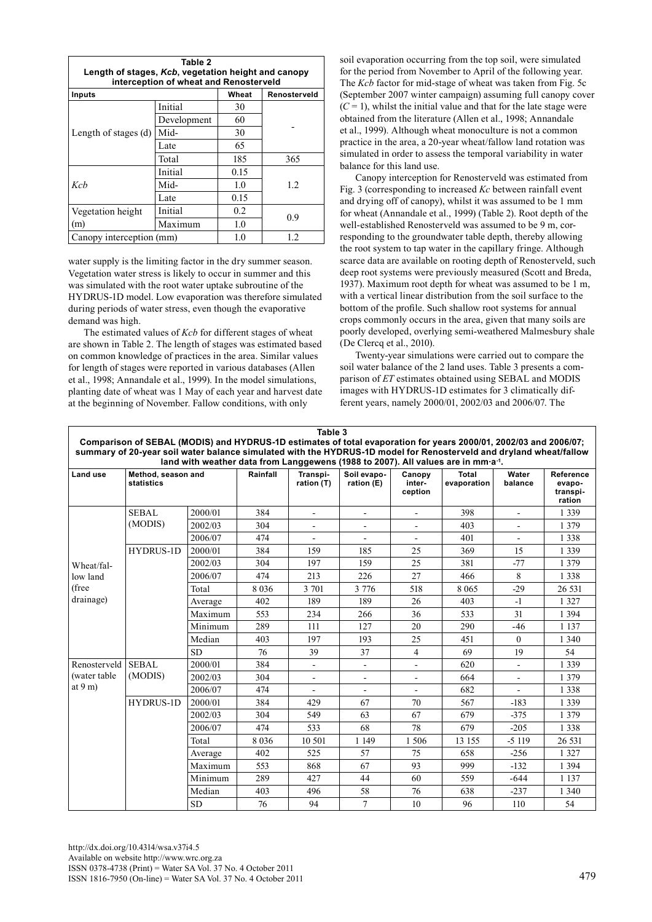| Table 2<br>Length of stages, Kcb, vegetation height and canopy<br>interception of wheat and Renosterveld |             |              |     |  |  |  |  |
|----------------------------------------------------------------------------------------------------------|-------------|--------------|-----|--|--|--|--|
| Inputs                                                                                                   | Wheat       | Renosterveld |     |  |  |  |  |
|                                                                                                          | Initial     | 30           |     |  |  |  |  |
|                                                                                                          | Development | 60           |     |  |  |  |  |
| Length of stages (d)                                                                                     | Mid-        | 30           |     |  |  |  |  |
|                                                                                                          | Late        | 65           |     |  |  |  |  |
|                                                                                                          | Total       | 185          | 365 |  |  |  |  |
|                                                                                                          | Initial     | 0.15         |     |  |  |  |  |
| Kch                                                                                                      | Mid-        | 1.0          | 1.2 |  |  |  |  |
|                                                                                                          | Late        | 0.15         |     |  |  |  |  |
| Vegetation height                                                                                        | Initial     | 0.2          | 0.9 |  |  |  |  |
| (m)                                                                                                      | Maximum     | 1.0          |     |  |  |  |  |
| Canopy interception (mm)                                                                                 | 1.0         | 1.2          |     |  |  |  |  |

water supply is the limiting factor in the dry summer season. Vegetation water stress is likely to occur in summer and this was simulated with the root water uptake subroutine of the HYDRUS-1D model. Low evaporation was therefore simulated during periods of water stress, even though the evaporative demand was high.

The estimated values of *Kcb* for different stages of wheat are shown in Table 2. The length of stages was estimated based on common knowledge of practices in the area. Similar values for length of stages were reported in various databases (Allen et al., 1998; Annandale et al., 1999). In the model simulations, planting date of wheat was 1 May of each year and harvest date at the beginning of November. Fallow conditions, with only

soil evaporation occurring from the top soil, were simulated for the period from November to April of the following year. The *Kcb* factor for mid-stage of wheat was taken from Fig. 5c (September 2007 winter campaign) assuming full canopy cover  $(C = 1)$ , whilst the initial value and that for the late stage were obtained from the literature (Allen et al., 1998; Annandale et al., 1999). Although wheat monoculture is not a common practice in the area, a 20-year wheat/fallow land rotation was simulated in order to assess the temporal variability in water balance for this land use.

Canopy interception for Renosterveld was estimated from Fig. 3 (corresponding to increased *Kc* between rainfall event and drying off of canopy), whilst it was assumed to be 1 mm for wheat (Annandale et al., 1999) (Table 2). Root depth of the well-established Renosterveld was assumed to be 9 m, corresponding to the groundwater table depth, thereby allowing the root system to tap water in the capillary fringe. Although scarce data are available on rooting depth of Renosterveld, such deep root systems were previously measured (Scott and Breda, 1937). Maximum root depth for wheat was assumed to be 1 m, with a vertical linear distribution from the soil surface to the bottom of the profile. Such shallow root systems for annual crops commonly occurs in the area, given that many soils are poorly developed, overlying semi-weathered Malmesbury shale (De Clercq et al., 2010).

Twenty-year simulations were carried out to compare the soil water balance of the 2 land uses. Table 3 presents a comparison of *ET* estimates obtained using SEBAL and MODIS images with HYDRUS-1D estimates for 3 climatically different years, namely 2000/01, 2002/03 and 2006/07. The

| Table 3<br>Comparison of SEBAL (MODIS) and HYDRUS-1D estimates of total evaporation for years 2000/01, 2002/03 and 2006/07;<br>summary of 20-year soil water balance simulated with the HYDRUS-1D model for Renosterveld and dryland wheat/fallow<br>land with weather data from Langgewens (1988 to 2007). All values are in mm a <sup>-1</sup> . |                                  |           |          |                          |                           |                             |                             |                  |                                           |
|----------------------------------------------------------------------------------------------------------------------------------------------------------------------------------------------------------------------------------------------------------------------------------------------------------------------------------------------------|----------------------------------|-----------|----------|--------------------------|---------------------------|-----------------------------|-----------------------------|------------------|-------------------------------------------|
| Land use                                                                                                                                                                                                                                                                                                                                           | Method, season and<br>statistics |           | Rainfall | Transpi-<br>ration (T)   | Soil evapo-<br>ration (E) | Canopy<br>inter-<br>ception | <b>Total</b><br>evaporation | Water<br>balance | Reference<br>evapo-<br>transpi-<br>ration |
| Wheat/fal-<br>low land<br>(free<br>drainage)                                                                                                                                                                                                                                                                                                       | <b>SEBAL</b><br>(MODIS)          | 2000/01   | 384      | $\blacksquare$           | $\overline{\phantom{a}}$  | $\frac{1}{2}$               | 398                         | $\blacksquare$   | 1 3 3 9                                   |
|                                                                                                                                                                                                                                                                                                                                                    |                                  | 2002/03   | 304      |                          |                           |                             | 403                         |                  | 1 379                                     |
|                                                                                                                                                                                                                                                                                                                                                    |                                  | 2006/07   | 474      | $\blacksquare$           | $\blacksquare$            | $\overline{a}$              | 401                         | $\sim$           | 1 3 3 8                                   |
|                                                                                                                                                                                                                                                                                                                                                    | <b>HYDRUS-1D</b>                 | 2000/01   | 384      | 159                      | 185                       | 25                          | 369                         | 15               | 1 3 3 9                                   |
|                                                                                                                                                                                                                                                                                                                                                    |                                  | 2002/03   | 304      | 197                      | 159                       | 25                          | 381                         | $-77$            | 1 3 7 9                                   |
|                                                                                                                                                                                                                                                                                                                                                    |                                  | 2006/07   | 474      | 213                      | 226                       | 27                          | 466                         | 8                | 1 3 3 8                                   |
|                                                                                                                                                                                                                                                                                                                                                    |                                  | Total     | 8036     | 3 701                    | 3 7 7 6                   | 518                         | 8 0 6 5                     | $-29$            | 26 531                                    |
|                                                                                                                                                                                                                                                                                                                                                    |                                  | Average   | 402      | 189                      | 189                       | 26                          | 403                         | $-1$             | 1 3 2 7                                   |
|                                                                                                                                                                                                                                                                                                                                                    |                                  | Maximum   | 553      | 234                      | 266                       | 36                          | 533                         | 31               | 1 3 9 4                                   |
|                                                                                                                                                                                                                                                                                                                                                    |                                  | Minimum   | 289      | 111                      | 127                       | 20                          | 290                         | $-46$            | 1 1 3 7                                   |
|                                                                                                                                                                                                                                                                                                                                                    |                                  | Median    | 403      | 197                      | 193                       | 25                          | 451                         | $\Omega$         | 1 3 4 0                                   |
|                                                                                                                                                                                                                                                                                                                                                    |                                  | <b>SD</b> | 76       | 39                       | 37                        | $\overline{4}$              | 69                          | 19               | 54                                        |
| Renosterveld                                                                                                                                                                                                                                                                                                                                       | <b>SEBAL</b><br>(MODIS)          | 2000/01   | 384      | $\overline{\phantom{a}}$ | $\blacksquare$            | ÷                           | 620                         |                  | 1 3 3 9                                   |
| (water table<br>at $9m$ )                                                                                                                                                                                                                                                                                                                          |                                  | 2002/03   | 304      | $\blacksquare$           |                           | L,                          | 664                         |                  | 1 3 7 9                                   |
|                                                                                                                                                                                                                                                                                                                                                    |                                  | 2006/07   | 474      |                          |                           |                             | 682                         |                  | 1 3 3 8                                   |
|                                                                                                                                                                                                                                                                                                                                                    | <b>HYDRUS-1D</b>                 | 2000/01   | 384      | 429                      | 67                        | 70                          | 567                         | $-183$           | 1 3 3 9                                   |
|                                                                                                                                                                                                                                                                                                                                                    |                                  | 2002/03   | 304      | 549                      | 63                        | 67                          | 679                         | $-375$           | 1 3 7 9                                   |
|                                                                                                                                                                                                                                                                                                                                                    |                                  | 2006/07   | 474      | 533                      | 68                        | 78                          | 679                         | $-205$           | 1 3 3 8                                   |
|                                                                                                                                                                                                                                                                                                                                                    |                                  | Total     | 8 0 3 6  | 10 501                   | 1 1 4 9                   | 1506                        | 13 155                      | $-5119$          | 26 531                                    |
|                                                                                                                                                                                                                                                                                                                                                    |                                  | Average   | 402      | 525                      | 57                        | 75                          | 658                         | $-256$           | 1 3 2 7                                   |
|                                                                                                                                                                                                                                                                                                                                                    |                                  | Maximum   | 553      | 868                      | 67                        | 93                          | 999                         | $-132$           | 1 3 9 4                                   |
|                                                                                                                                                                                                                                                                                                                                                    |                                  | Minimum   | 289      | 427                      | 44                        | 60                          | 559                         | $-644$           | 1 1 3 7                                   |
|                                                                                                                                                                                                                                                                                                                                                    |                                  | Median    | 403      | 496                      | 58                        | 76                          | 638                         | $-237$           | 1 3 4 0                                   |
|                                                                                                                                                                                                                                                                                                                                                    |                                  | <b>SD</b> | 76       | 94                       | $\overline{7}$            | 10                          | 96                          | 110              | 54                                        |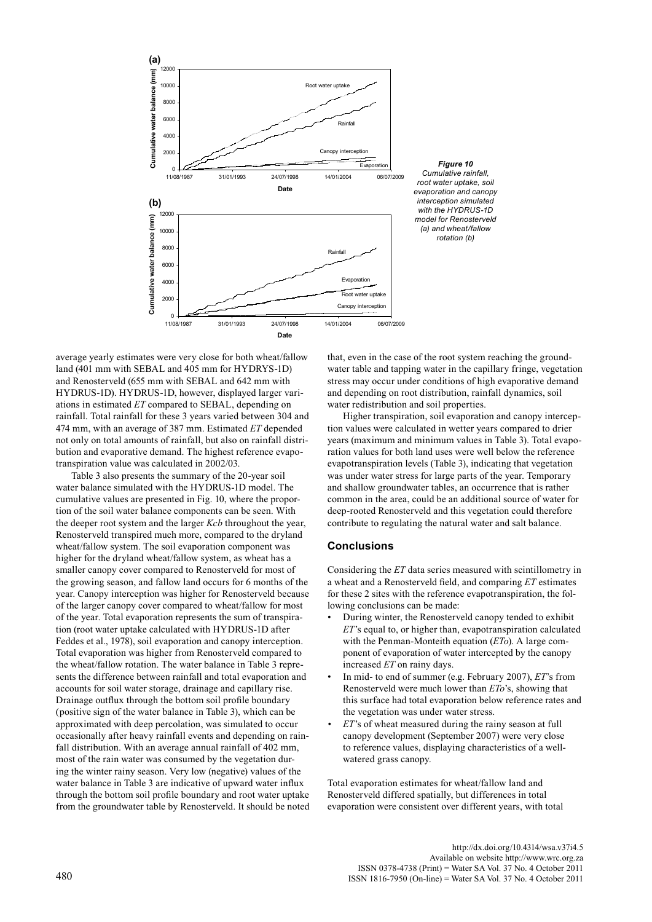

*Figure 10 Cumulative rainfall, root water uptake, soil evaporation and canopy interception simulated with the HYDRUS-1D model for Renosterveld (a) and wheat/fallow rotation (b)* 

average yearly estimates were very close for both wheat/fallow 3 land (401 mm with SEBAL and 405 mm for HYDRYS-1D) and Renosterveld (655 mm with SEBAL and 642 mm with HYDRUS-1D). HYDRUS-1D, however, displayed larger variations in estimated *ET* compared to SEBAL, depending on rainfall. Total rainfall for these 3 years varied between 304 and 474 mm, with an average of 387 mm. Estimated *ET* depended not only on total amounts of rainfall, but also on rainfall distribution and evaporative demand. The highest reference evapotranspiration value was calculated in 2002/03.

Table 3 also presents the summary of the 20-year soil water balance simulated with the HYDRUS-1D model. The cumulative values are presented in Fig. 10, where the proportion of the soil water balance components can be seen. With the deeper root system and the larger *Kcb* throughout the year, Renosterveld transpired much more, compared to the dryland wheat/fallow system. The soil evaporation component was higher for the dryland wheat/fallow system, as wheat has a smaller canopy cover compared to Renosterveld for most of the growing season, and fallow land occurs for 6 months of the year. Canopy interception was higher for Renosterveld because of the larger canopy cover compared to wheat/fallow for most of the year. Total evaporation represents the sum of transpiration (root water uptake calculated with HYDRUS-1D after Feddes et al., 1978), soil evaporation and canopy interception. Total evaporation was higher from Renosterveld compared to the wheat/fallow rotation. The water balance in Table 3 represents the difference between rainfall and total evaporation and accounts for soil water storage, drainage and capillary rise. Drainage outflux through the bottom soil profile boundary (positive sign of the water balance in Table 3), which can be approximated with deep percolation, was simulated to occur occasionally after heavy rainfall events and depending on rainfall distribution. With an average annual rainfall of 402 mm, most of the rain water was consumed by the vegetation during the winter rainy season. Very low (negative) values of the water balance in Table 3 are indicative of upward water influx through the bottom soil profile boundary and root water uptake from the groundwater table by Renosterveld. It should be noted that, even in the case of the root system reaching the groundwater table and tapping water in the capillary fringe, vegetation stress may occur under conditions of high evaporative demand and depending on root distribution, rainfall dynamics, soil water redistribution and soil properties.

Higher transpiration, soil evaporation and canopy interception values were calculated in wetter years compared to drier years (maximum and minimum values in Table 3). Total evaporation values for both land uses were well below the reference evapotranspiration levels (Table 3), indicating that vegetation was under water stress for large parts of the year. Temporary and shallow groundwater tables, an occurrence that is rather common in the area, could be an additional source of water for deep-rooted Renosterveld and this vegetation could therefore contribute to regulating the natural water and salt balance.

## **Conclusions**

Considering the *ET* data series measured with scintillometry in a wheat and a Renosterveld field, and comparing *ET* estimates for these 2 sites with the reference evapotranspiration, the following conclusions can be made:

- During winter, the Renosterveld canopy tended to exhibit *ET*'s equal to, or higher than, evapotranspiration calculated with the Penman-Monteith equation (*ETo*). A large component of evaporation of water intercepted by the canopy increased *ET* on rainy days.
- In mid- to end of summer (e.g. February 2007), *ET*'s from Renosterveld were much lower than *ETo*'s, showing that this surface had total evaporation below reference rates and the vegetation was under water stress.
- *ET*'s of wheat measured during the rainy season at full canopy development (September 2007) were very close to reference values, displaying characteristics of a wellwatered grass canopy.

Total evaporation estimates for wheat/fallow land and Renosterveld differed spatially, but differences in total evaporation were consistent over different years, with total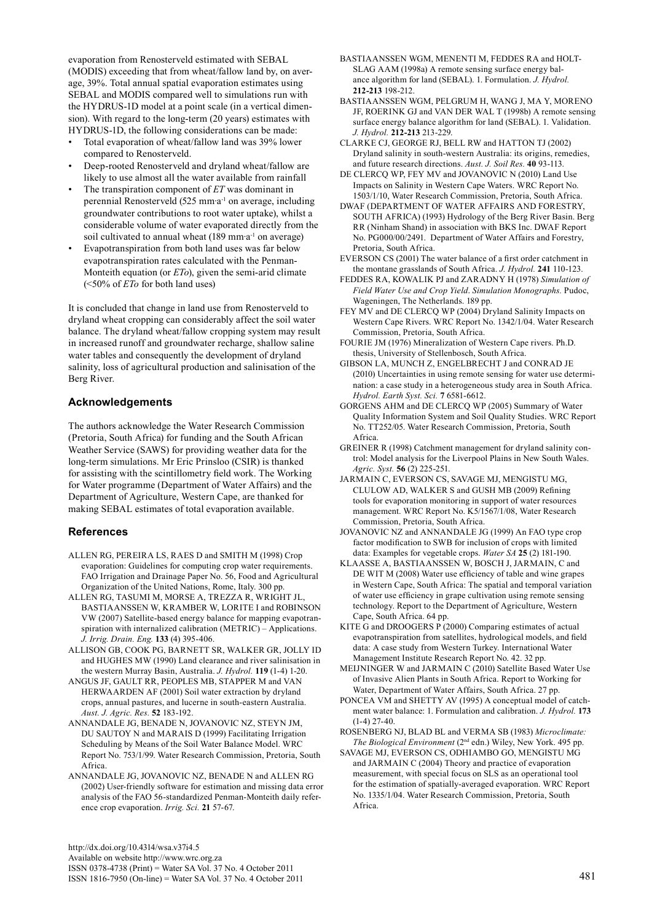evaporation from Renosterveld estimated with SEBAL (MODIS) exceeding that from wheat/fallow land by, on average, 39%. Total annual spatial evaporation estimates using SEBAL and MODIS compared well to simulations run with the HYDRUS-1D model at a point scale (in a vertical dimension). With regard to the long-term (20 years) estimates with HYDRUS-1D, the following considerations can be made:

- Total evaporation of wheat/fallow land was 39% lower compared to Renosterveld.
- Deep-rooted Renosterveld and dryland wheat/fallow are likely to use almost all the water available from rainfall
- The transpiration component of *ET* was dominant in perennial Renosterveld (525 mm∙a-1 on average, including groundwater contributions to root water uptake), whilst a considerable volume of water evaporated directly from the soil cultivated to annual wheat (189 mm⋅a<sup>-1</sup> on average)
- Evapotranspiration from both land uses was far below evapotranspiration rates calculated with the Penman-Monteith equation (or *ETo*), given the semi-arid climate (<50% of *ETo* for both land uses)

It is concluded that change in land use from Renosterveld to dryland wheat cropping can considerably affect the soil water balance. The dryland wheat/fallow cropping system may result in increased runoff and groundwater recharge, shallow saline water tables and consequently the development of dryland salinity, loss of agricultural production and salinisation of the Berg River.

# **Acknowledgements**

The authors acknowledge the Water Research Commission (Pretoria, South Africa) for funding and the South African Weather Service (SAWS) for providing weather data for the long-term simulations. Mr Eric Prinsloo (CSIR) is thanked for assisting with the scintillometry field work. The Working for Water programme (Department of Water Affairs) and the Department of Agriculture, Western Cape, are thanked for making SEBAL estimates of total evaporation available.

## **References**

- ALLEN RG, PEREIRA LS, RAES D and SMITH M (1998) Crop evaporation: Guidelines for computing crop water requirements. FAO Irrigation and Drainage Paper No. 56, Food and Agricultural Organization of the United Nations, Rome, Italy. 300 pp.
- ALLEN RG, TASUMI M, MORSE A, TREZZA R, WRIGHT JL, BASTIAANSSEN W, KRAMBER W, LORITE I and ROBINSON VW (2007) Satellite-based energy balance for mapping evapotranspiration with internalized calibration (METRIC) – Applications. *J. Irrig. Drain. Eng.* **133** (4) 395-406.
- ALLISON GB, COOK PG, BARNETT SR, WALKER GR, JOLLY ID and HUGHES MW (1990) Land clearance and river salinisation in the western Murray Basin, Australia. *J. Hydrol.* **119** (1-4) 1-20.
- ANGUS JF, GAULT RR, PEOPLES MB, STAPPER M and VAN HERWAARDEN AF (2001) Soil water extraction by dryland crops, annual pastures, and lucerne in south-eastern Australia. *Aust. J. Agric. Res.* **52** 183-192.
- ANNANDALE JG, BENADE N, JOVANOVIC NZ, STEYN JM, DU SAUTOY N and MARAIS D (1999) Facilitating Irrigation Scheduling by Means of the Soil Water Balance Model. WRC Report No. 753/1/99. Water Research Commission, Pretoria, South Africa.
- ANNANDALE JG, JOVANOVIC NZ, BENADE N and ALLEN RG (2002) User-friendly software for estimation and missing data error analysis of the FAO 56-standardized Penman-Monteith daily reference crop evaporation. *Irrig. Sci.* **21** 57-67.

http://dx.doi.org/10.4314/wsa.v37i4.5 Available on website http://www.wrc.org.za ISSN 0378-4738 (Print) = Water SA Vol. 37 No. 4 October 2011 ISSN 1816-7950 (On-line) = Water SA Vol. 37 No. 4 October 2011 481

- BASTIAANSSEN WGM, MENENTI M, FEDDES RA and HOLT-SLAG AAM (1998a) A remote sensing surface energy balance algorithm for land (SEBAL). 1. Formulation. *J. Hydrol.* **212-213** 198-212.
- BASTIAANSSEN WGM, PELGRUM H, WANG J, MA Y, MORENO JF, ROERINK GJ and VAN DER WAL T (1998b) A remote sensing surface energy balance algorithm for land (SEBAL). 1. Validation. *J. Hydrol.* **212-213** 213-229.
- CLARKE CJ, GEORGE RJ, BELL RW and HATTON TJ (2002) Dryland salinity in south-western Australia: its origins, remedies, and future research directions. *Aust. J. Soil Res.* **40** 93-113.
- DE CLERCQ WP, FEY MV and JOVANOVIC N (2010) Land Use Impacts on Salinity in Western Cape Waters. WRC Report No. 1503/1/10, Water Research Commission, Pretoria, South Africa.
- DWAF (DEPARTMENT OF WATER AFFAIRS AND FORESTRY, SOUTH AFRICA) (1993) Hydrology of the Berg River Basin. Berg RR (Ninham Shand) in association with BKS Inc. DWAF Report No. PG000/00/2491. Department of Water Affairs and Forestry, Pretoria, South Africa.
- EVERSON CS (2001) The water balance of a first order catchment in the montane grasslands of South Africa. *J. Hydrol.* **241** 110-123.
- FEDDES RA, KOWALIK PJ and ZARADNY H (1978) *Simulation of Field Water Use and Crop Yield*. *Simulation Monographs.* Pudoc, Wageningen, The Netherlands. 189 pp.
- FEY MV and DE CLERCQ WP (2004) Dryland Salinity Impacts on Western Cape Rivers. WRC Report No. 1342/1/04. Water Research Commission, Pretoria, South Africa.
- FOURIE JM (1976) Mineralization of Western Cape rivers. Ph.D. thesis, University of Stellenbosch, South Africa.
- GIBSON LA, MUNCH Z, ENGELBRECHT J and CONRAD JE (2010) Uncertainties in using remote sensing for water use determination: a case study in a heterogeneous study area in South Africa. *Hydrol. Earth Syst. Sci.* **7** 6581-6612.
- GORGENS AHM and DE CLERCQ WP (2005) Summary of Water Quality Information System and Soil Quality Studies. WRC Report No. TT252/05. Water Research Commission, Pretoria, South Africa.
- GREINER R (1998) Catchment management for dryland salinity control: Model analysis for the Liverpool Plains in New South Wales. *Agric. Syst.* **56** (2) 225-251.
- JARMAIN C, EVERSON CS, SAVAGE MJ, MENGISTU MG, CLULOW AD, WALKER S and GUSH MB (2009) Refining tools for evaporation monitoring in support of water resources management. WRC Report No. K5/1567/1/08, Water Research Commission, Pretoria, South Africa.
- JOVANOVIC NZ and ANNANDALE JG (1999) An FAO type crop factor modification to SWB for inclusion of crops with limited data: Examples for vegetable crops. *Water SA* **25** (2) 181-190.
- KLAASSE A, BASTIAANSSEN W, BOSCH J, JARMAIN, C and DE WIT M (2008) Water use efficiency of table and wine grapes in Western Cape, South Africa: The spatial and temporal variation of water use efficiency in grape cultivation using remote sensing technology. Report to the Department of Agriculture, Western Cape, South Africa. 64 pp.
- KITE G and DROOGERS P (2000) Comparing estimates of actual evapotranspiration from satellites, hydrological models, and field data: A case study from Western Turkey. International Water Management Institute Research Report No. 42. 32 pp.
- MEIJNINGER W and JARMAIN C (2010) Satellite Based Water Use of Invasive Alien Plants in South Africa. Report to Working for Water, Department of Water Affairs, South Africa. 27 pp.
- PONCEA VM and SHETTY AV (1995) A conceptual model of catchment water balance: 1. Formulation and calibration. *J. Hydrol.* **173**   $(1-4)$  27-40
- ROSENBERG NJ, BLAD BL and VERMA SB (1983) *Microclimate: The Biological Environment* (2nd edn.) Wiley, New York. 495 pp.
- SAVAGE MJ, EVERSON CS, ODHIAMBO GO, MENGISTU MG and JARMAIN C (2004) Theory and practice of evaporation measurement, with special focus on SLS as an operational tool for the estimation of spatially-averaged evaporation. WRC Report No. 1335/1/04. Water Research Commission, Pretoria, South Africa.